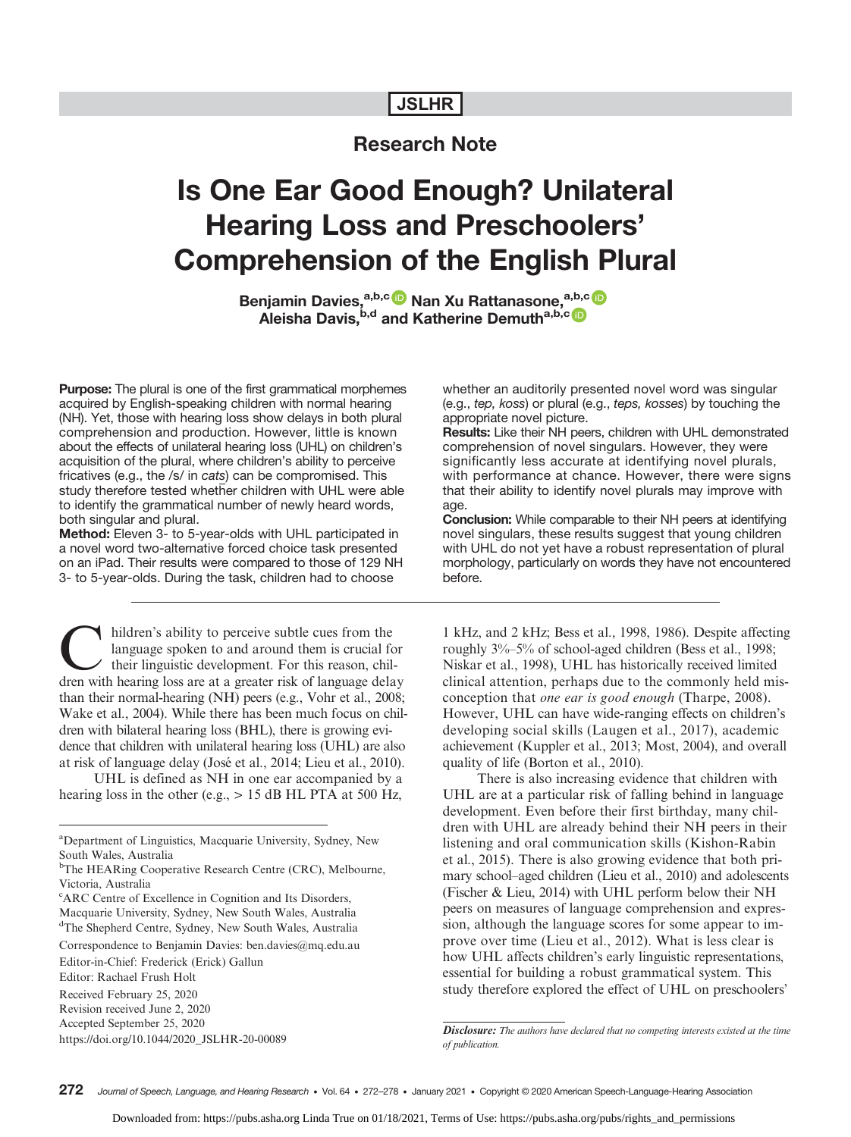# JSLHR

# Research Note

# Is One Ear Good Enough? Unilateral Hearing Loss and Preschoolers' Comprehension of the English Plural

Benjamin Davies,<sup>a,b,c (p</sup> Nan Xu Rattanasone,<sup>a,b,c</sup> (p Aleisha Davis, <sup>b,d</sup> and Katherine Demuth<sup>a,b,c</sup>

**Purpose:** The plural is one of the first grammatical morphemes acquired by English-speaking children with normal hearing (NH). Yet, those with hearing loss show delays in both plural comprehension and production. However, little is known about the effects of unilateral hearing loss (UHL) on children's acquisition of the plural, where children's ability to perceive fricatives (e.g., the /s/ in cats) can be compromised. This study therefore tested whether children with UHL were able to identify the grammatical number of newly heard words, both singular and plural.

Method: Eleven 3- to 5-year-olds with UHL participated in a novel word two-alternative forced choice task presented on an iPad. Their results were compared to those of 129 NH 3- to 5-year-olds. During the task, children had to choose

hildren's ability to perceive subtle cues from the language spoken to and around them is crucial for their linguistic development. For this reason, children with hearing loss are at a greater risk of language delay than their normal-hearing (NH) peers (e.g., Vohr et al., 2008; Wake et al., 2004). While there has been much focus on children with bilateral hearing loss (BHL), there is growing evidence that children with unilateral hearing loss (UHL) are also at risk of language delay (José et al., 2014; Lieu et al., 2010).

UHL is defined as NH in one ear accompanied by a hearing loss in the other (e.g.,  $> 15$  dB HL PTA at 500 Hz,

Correspondence to Benjamin Davies: ben.davies@mq.edu.au

Editor-in-Chief: Frederick (Erick) Gallun

Editor: Rachael Frush Holt

Received February 25, 2020 Revision received June 2, 2020

Accepted September 25, 2020

https://doi.org/10.1044/2020\_JSLHR-20-00089

whether an auditorily presented novel word was singular (e.g., tep, koss) or plural (e.g., teps, kosses) by touching the appropriate novel picture.

Results: Like their NH peers, children with UHL demonstrated comprehension of novel singulars. However, they were significantly less accurate at identifying novel plurals, with performance at chance. However, there were signs that their ability to identify novel plurals may improve with age.

Conclusion: While comparable to their NH peers at identifying novel singulars, these results suggest that young children with UHL do not yet have a robust representation of plural morphology, particularly on words they have not encountered before.

1 kHz, and 2 kHz; Bess et al., 1998, 1986). Despite affecting roughly 3%–5% of school-aged children (Bess et al., 1998; Niskar et al., 1998), UHL has historically received limited clinical attention, perhaps due to the commonly held misconception that one ear is good enough (Tharpe, 2008). However, UHL can have wide-ranging effects on children's developing social skills (Laugen et al., 2017), academic achievement (Kuppler et al., 2013; Most, 2004), and overall quality of life (Borton et al., 2010).

There is also increasing evidence that children with UHL are at a particular risk of falling behind in language development. Even before their first birthday, many children with UHL are already behind their NH peers in their listening and oral communication skills (Kishon-Rabin et al., 2015). There is also growing evidence that both primary school–aged children (Lieu et al., 2010) and adolescents (Fischer & Lieu, 2014) with UHL perform below their NH peers on measures of language comprehension and expression, although the language scores for some appear to improve over time (Lieu et al., 2012). What is less clear is how UHL affects children's early linguistic representations, essential for building a robust grammatical system. This study therefore explored the effect of UHL on preschoolers'

Disclosure: The authors have declared that no competing interests existed at the time of publication.

<sup>&</sup>lt;sup>a</sup>Department of Linguistics, Macquarie University, Sydney, New South Wales, Australia

<sup>&</sup>lt;sup>b</sup>The HEARing Cooperative Research Centre (CRC), Melbourne, Victoria, Australia

<sup>&</sup>lt;sup>c</sup>ARC Centre of Excellence in Cognition and Its Disorders, Macquarie University, Sydney, New South Wales, Australia <sup>d</sup>The Shepherd Centre, Sydney, New South Wales, Australia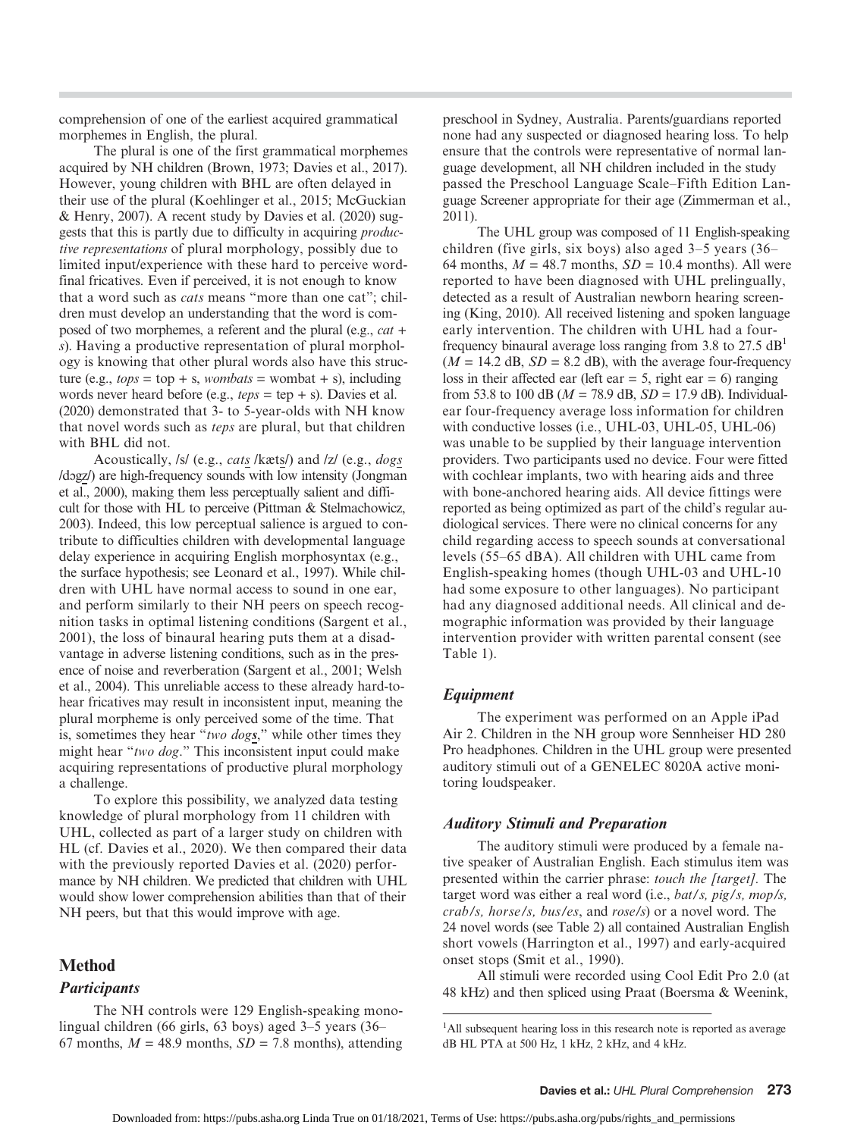comprehension of one of the earliest acquired grammatical morphemes in English, the plural.

The plural is one of the first grammatical morphemes acquired by NH children (Brown, 1973; Davies et al., 2017). However, young children with BHL are often delayed in their use of the plural (Koehlinger et al., 2015; McGuckian & Henry, 2007). A recent study by Davies et al. (2020) suggests that this is partly due to difficulty in acquiring productive representations of plural morphology, possibly due to limited input/experience with these hard to perceive wordfinal fricatives. Even if perceived, it is not enough to know that a word such as *cats* means "more than one cat"; children must develop an understanding that the word is composed of two morphemes, a referent and the plural (e.g., cat + s). Having a productive representation of plural morphology is knowing that other plural words also have this structure (e.g.,  $tops = top + s$ , wombats = wombat + s), including words never heard before (e.g.,  $teps = \text{tep} + s$ ). Davies et al. (2020) demonstrated that 3- to 5-year-olds with NH know that novel words such as teps are plural, but that children with BHL did not.

Acoustically, /s/ (e.g., cats /kæts/) and /z/ (e.g., dogs /dɔgz/) are high-frequency sounds with low intensity (Jongman et al., 2000), making them less perceptually salient and difficult for those with HL to perceive (Pittman & Stelmachowicz, 2003). Indeed, this low perceptual salience is argued to contribute to difficulties children with developmental language delay experience in acquiring English morphosyntax (e.g., the surface hypothesis; see Leonard et al., 1997). While children with UHL have normal access to sound in one ear, and perform similarly to their NH peers on speech recognition tasks in optimal listening conditions (Sargent et al., 2001), the loss of binaural hearing puts them at a disadvantage in adverse listening conditions, such as in the presence of noise and reverberation (Sargent et al., 2001; Welsh et al., 2004). This unreliable access to these already hard-tohear fricatives may result in inconsistent input, meaning the plural morpheme is only perceived some of the time. That is, sometimes they hear "two dogs," while other times they might hear "two dog." This inconsistent input could make acquiring representations of productive plural morphology a challenge.

To explore this possibility, we analyzed data testing knowledge of plural morphology from 11 children with UHL, collected as part of a larger study on children with HL (cf. Davies et al., 2020). We then compared their data with the previously reported Davies et al. (2020) performance by NH children. We predicted that children with UHL would show lower comprehension abilities than that of their NH peers, but that this would improve with age.

## Method

## **Participants**

The NH controls were 129 English-speaking monolingual children (66 girls, 63 boys) aged 3–5 years (36– 67 months,  $M = 48.9$  months,  $SD = 7.8$  months), attending preschool in Sydney, Australia. Parents/guardians reported none had any suspected or diagnosed hearing loss. To help ensure that the controls were representative of normal language development, all NH children included in the study passed the Preschool Language Scale–Fifth Edition Language Screener appropriate for their age (Zimmerman et al., 2011).

The UHL group was composed of 11 English-speaking children (five girls, six boys) also aged 3–5 years (36– 64 months,  $M = 48.7$  months,  $SD = 10.4$  months). All were reported to have been diagnosed with UHL prelingually, detected as a result of Australian newborn hearing screening (King, 2010). All received listening and spoken language early intervention. The children with UHL had a fourfrequency binaural average loss ranging from 3.8 to 27.5  $dB<sup>1</sup>$  $(M = 14.2$  dB,  $SD = 8.2$  dB), with the average four-frequency loss in their affected ear (left ear  $= 5$ , right ear  $= 6$ ) ranging from 53.8 to 100 dB ( $M = 78.9$  dB,  $SD = 17.9$  dB). Individualear four-frequency average loss information for children with conductive losses (i.e., UHL-03, UHL-05, UHL-06) was unable to be supplied by their language intervention providers. Two participants used no device. Four were fitted with cochlear implants, two with hearing aids and three with bone-anchored hearing aids. All device fittings were reported as being optimized as part of the child's regular audiological services. There were no clinical concerns for any child regarding access to speech sounds at conversational levels (55–65 dBA). All children with UHL came from English-speaking homes (though UHL-03 and UHL-10 had some exposure to other languages). No participant had any diagnosed additional needs. All clinical and demographic information was provided by their language intervention provider with written parental consent (see Table 1).

## Equipment

The experiment was performed on an Apple iPad Air 2. Children in the NH group wore Sennheiser HD 280 Pro headphones. Children in the UHL group were presented auditory stimuli out of a GENELEC 8020A active monitoring loudspeaker.

## Auditory Stimuli and Preparation

The auditory stimuli were produced by a female native speaker of Australian English. Each stimulus item was presented within the carrier phrase: touch the [target]. The target word was either a real word (i.e., bat/s, pig/s, mop/s, crab/s, horse/s, bus/es, and rose/s) or a novel word. The 24 novel words (see Table 2) all contained Australian English short vowels (Harrington et al., 1997) and early-acquired onset stops (Smit et al., 1990).

All stimuli were recorded using Cool Edit Pro 2.0 (at 48 kHz) and then spliced using Praat (Boersma & Weenink,

<sup>&</sup>lt;sup>1</sup>All subsequent hearing loss in this research note is reported as average dB HL PTA at 500 Hz, 1 kHz, 2 kHz, and 4 kHz.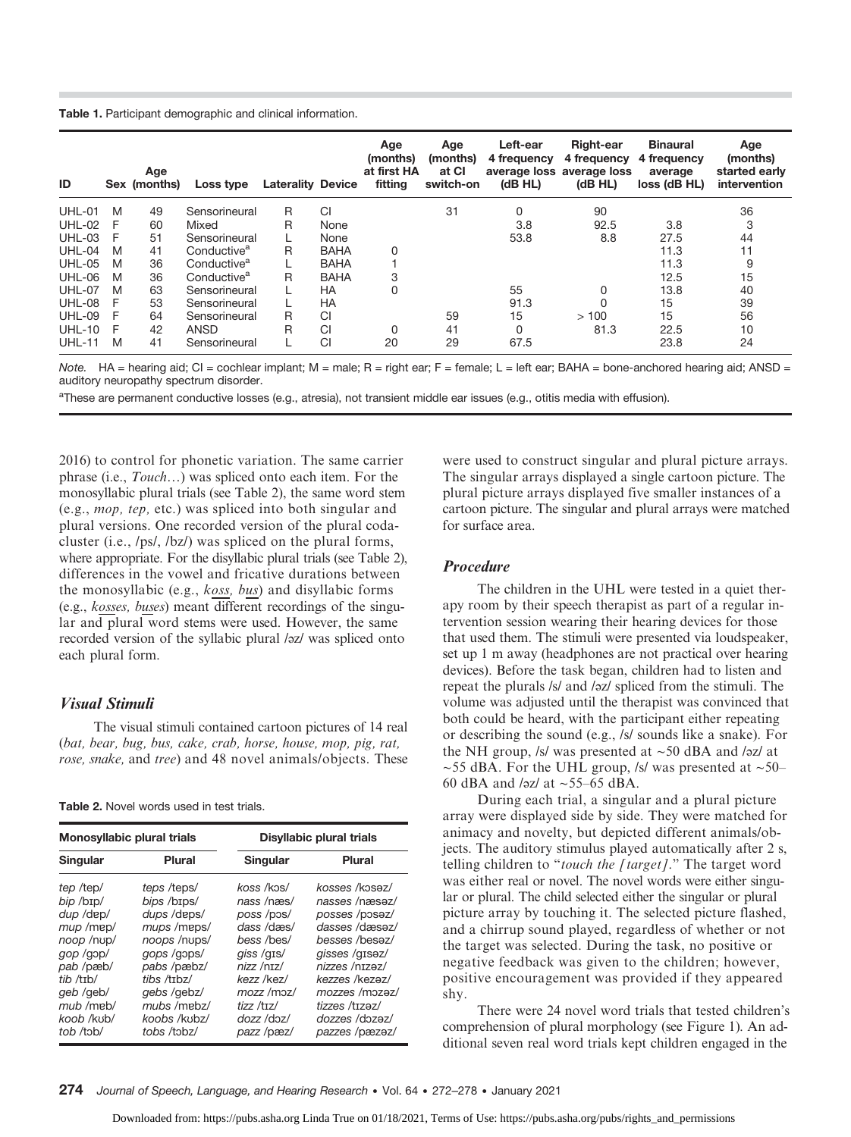Table 1. Participant demographic and clinical information.

| ID            |   | Age<br>Sex (months) | Loss type               | <b>Laterality Device</b> |             | Age<br>(months)<br>at first HA<br>fitting | Age<br>(months)<br>at CI<br>switch-on | Left-ear<br>4 frequency<br>(dB HL) | Right-ear<br>4 frequency<br>average loss average loss<br>(dB HL) | <b>Binaural</b><br>4 frequency<br>average<br>loss (dB HL) | Age<br>(months)<br>started early<br>intervention |
|---------------|---|---------------------|-------------------------|--------------------------|-------------|-------------------------------------------|---------------------------------------|------------------------------------|------------------------------------------------------------------|-----------------------------------------------------------|--------------------------------------------------|
| UHL-01        | M | 49                  | Sensorineural           | R                        | CI          |                                           | 31                                    | 0                                  | 90                                                               |                                                           | 36                                               |
| <b>UHL-02</b> | F | 60                  | Mixed                   | R                        | None        |                                           |                                       | 3.8                                | 92.5                                                             | 3.8                                                       | 3                                                |
| $UHL-03$      | F | 51                  | Sensorineural           |                          | None        |                                           |                                       | 53.8                               | 8.8                                                              | 27.5                                                      | 44                                               |
| $UHL-04$      | M | 41                  | Conductive <sup>a</sup> | R                        | <b>BAHA</b> | 0                                         |                                       |                                    |                                                                  | 11.3                                                      | 11                                               |
| $UHL-05$      | M | 36                  | Conductive <sup>a</sup> |                          | <b>BAHA</b> |                                           |                                       |                                    |                                                                  | 11.3                                                      | 9                                                |
| <b>UHL-06</b> | M | 36                  | Conductive <sup>a</sup> | R                        | <b>BAHA</b> | 3                                         |                                       |                                    |                                                                  | 12.5                                                      | 15                                               |
| <b>UHL-07</b> | M | 63                  | Sensorineural           |                          | <b>HA</b>   | 0                                         |                                       | 55                                 | 0                                                                | 13.8                                                      | 40                                               |
| <b>UHL-08</b> | F | 53                  | Sensorineural           |                          | <b>HA</b>   |                                           |                                       | 91.3                               | $\Omega$                                                         | 15                                                        | 39                                               |
| <b>UHL-09</b> | F | 64                  | Sensorineural           | R                        | CI          |                                           | 59                                    | 15                                 | >100                                                             | 15                                                        | 56                                               |
| $UHL-10$      | F | 42                  | ANSD                    | R                        | CI          | 0                                         | 41                                    | 0                                  | 81.3                                                             | 22.5                                                      | 10                                               |
| <b>UHL-11</b> | M | 41                  | Sensorineural           |                          | CI          | 20                                        | 29                                    | 67.5                               |                                                                  | 23.8                                                      | 24                                               |

Note. HA = hearing aid; CI = cochlear implant; M = male; R = right ear; F = female; L = left ear; BAHA = bone-anchored hearing aid; ANSD = auditory neuropathy spectrum disorder.

aThese are permanent conductive losses (e.g., atresia), not transient middle ear issues (e.g., otitis media with effusion).

2016) to control for phonetic variation. The same carrier phrase (i.e., Touch…) was spliced onto each item. For the monosyllabic plural trials (see Table 2), the same word stem (e.g., mop, tep, etc.) was spliced into both singular and plural versions. One recorded version of the plural codacluster (i.e., /ps/, /bz/) was spliced on the plural forms, where appropriate. For the disyllabic plural trials (see Table 2), differences in the vowel and fricative durations between the monosyllabic (e.g., koss, bus) and disyllabic forms (e.g., kosses, buses) meant different recordings of the singular and plural word stems were used. However, the same recorded version of the syllabic plural /əz/ was spliced onto each plural form.

## Visual Stimuli

The visual stimuli contained cartoon pictures of 14 real (bat, bear, bug, bus, cake, crab, horse, house, mop, pig, rat, rose, snake, and tree) and 48 novel animals/objects. These

#### Table 2. Novel words used in test trials.

| Monosyllabic plural trials                                                                                                                                 |                                                                                                                                                                                  | Disyllabic plural trials                                                                                                                                             |                                                                                                                                                                                                                      |  |  |
|------------------------------------------------------------------------------------------------------------------------------------------------------------|----------------------------------------------------------------------------------------------------------------------------------------------------------------------------------|----------------------------------------------------------------------------------------------------------------------------------------------------------------------|----------------------------------------------------------------------------------------------------------------------------------------------------------------------------------------------------------------------|--|--|
| Singular                                                                                                                                                   | Plural                                                                                                                                                                           | Singular                                                                                                                                                             | Plural                                                                                                                                                                                                               |  |  |
| tep /tep/<br>bip /bɪp/<br>dup /dep/<br>mup /mep/<br>noop /nup/<br>gop/gop/<br>pab /pæb/<br>tib / trb/<br>qeb /qeb/<br>mub /meb/<br>koob /kub/<br>tob /tob/ | teps /teps/<br>bips /bɪps/<br>dups /deps/<br>mups /meps/<br>noops /nups/<br>gops/gops/<br>pabs /pæbz/<br>tibs /tɪbz/<br>gebs/gebz/<br>mubs /mebz/<br>koobs /kubz/<br>tobs /tobz/ | koss /kɔs/<br>nass /næs/<br>poss /pos/<br>dass/dæs/<br>bess /bes/<br>giss /gis/<br>nizz/nzz/<br>kezz /kez/<br>$mozz$ /moz/<br>tizz /tɪz/<br>dozz /doz/<br>pazz /pæz/ | kosses /kosaz/<br>nasses /næsaz/<br>posses /posez/<br>dasses /dæsəz/<br>besses /besaz/<br>qisses /qisəz/<br>nizzes /nɪzəz/<br>kezzes /kezaz/<br>mozzes /mozaz/<br>tizzes /tɪzəz/<br>dozzes /dozaz/<br>pazzes /pæzəz/ |  |  |

were used to construct singular and plural picture arrays. The singular arrays displayed a single cartoon picture. The plural picture arrays displayed five smaller instances of a cartoon picture. The singular and plural arrays were matched for surface area.

### Procedure

The children in the UHL were tested in a quiet therapy room by their speech therapist as part of a regular intervention session wearing their hearing devices for those that used them. The stimuli were presented via loudspeaker, set up 1 m away (headphones are not practical over hearing devices). Before the task began, children had to listen and repeat the plurals /s/ and /əz/ spliced from the stimuli. The volume was adjusted until the therapist was convinced that both could be heard, with the participant either repeating or describing the sound (e.g., /s/ sounds like a snake). For the NH group, /s/ was presented at  $\sim$  50 dBA and /əz/ at  $\sim$ 55 dBA. For the UHL group, /s/ was presented at  $\sim$ 50– 60 dBA and /əz/ at ~55–65 dBA.

During each trial, a singular and a plural picture array were displayed side by side. They were matched for animacy and novelty, but depicted different animals/objects. The auditory stimulus played automatically after 2 s, telling children to "touch the [target]." The target word was either real or novel. The novel words were either singular or plural. The child selected either the singular or plural picture array by touching it. The selected picture flashed, and a chirrup sound played, regardless of whether or not the target was selected. During the task, no positive or negative feedback was given to the children; however, positive encouragement was provided if they appeared shy.

There were 24 novel word trials that tested children's comprehension of plural morphology (see Figure 1). An additional seven real word trials kept children engaged in the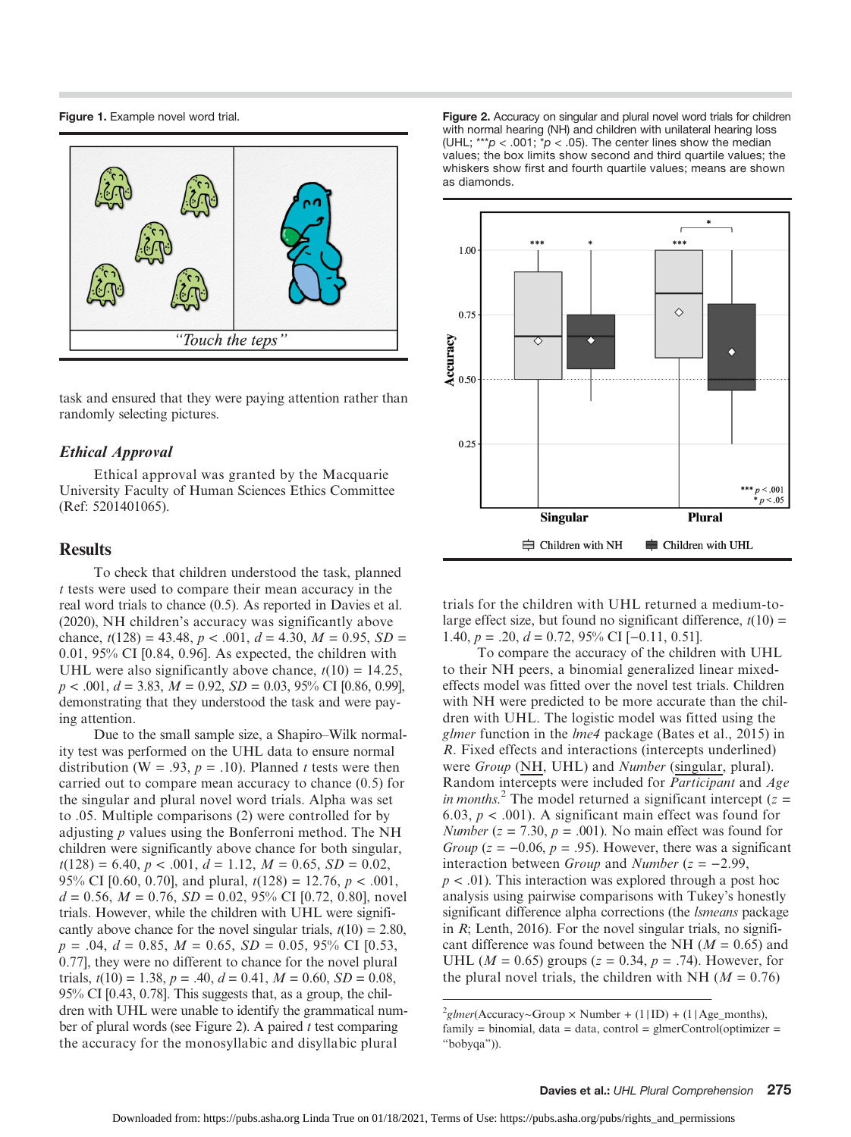Figure 1. Example novel word trial.



task and ensured that they were paying attention rather than randomly selecting pictures.

## Ethical Approval

Ethical approval was granted by the Macquarie University Faculty of Human Sciences Ethics Committee (Ref: 5201401065).

## **Results**

To check that children understood the task, planned t tests were used to compare their mean accuracy in the real word trials to chance (0.5). As reported in Davies et al. (2020), NH children's accuracy was significantly above chance,  $t(128) = 43.48$ ,  $p < .001$ ,  $d = 4.30$ ,  $M = 0.95$ ,  $SD =$ 0.01, 95% CI [0.84, 0.96]. As expected, the children with UHL were also significantly above chance,  $t(10) = 14.25$ ,  $p < .001, d = 3.83, M = 0.92, SD = 0.03, 95\% \text{ CI} [0.86, 0.99],$ demonstrating that they understood the task and were paying attention.

Due to the small sample size, a Shapiro–Wilk normality test was performed on the UHL data to ensure normal distribution (W = .93,  $p = .10$ ). Planned t tests were then carried out to compare mean accuracy to chance (0.5) for the singular and plural novel word trials. Alpha was set to .05. Multiple comparisons (2) were controlled for by adjusting  $p$  values using the Bonferroni method. The NH children were significantly above chance for both singular,  $t(128) = 6.40, p < .001, d = 1.12, M = 0.65, SD = 0.02,$ 95% CI [0.60, 0.70], and plural,  $t(128) = 12.76$ ,  $p < .001$ ,  $d = 0.56$ ,  $M = 0.76$ ,  $SD = 0.02$ ,  $95\%$  CI [0.72, 0.80], novel trials. However, while the children with UHL were significantly above chance for the novel singular trials,  $t(10) = 2.80$ ,  $p = .04, d = 0.85, M = 0.65, SD = 0.05, 95\% \text{ CI}$  [0.53, 0.77], they were no different to chance for the novel plural trials,  $t(10) = 1.38$ ,  $p = .40$ ,  $d = 0.41$ ,  $M = 0.60$ ,  $SD = 0.08$ , 95% CI [0.43, 0.78]. This suggests that, as a group, the children with UHL were unable to identify the grammatical number of plural words (see Figure 2). A paired  $t$  test comparing the accuracy for the monosyllabic and disyllabic plural

Figure 2. Accuracy on singular and plural novel word trials for children with normal hearing (NH) and children with unilateral hearing loss (UHL; \*\*\* $p$  < .001; \* $p$  < .05). The center lines show the median values; the box limits show second and third quartile values; the whiskers show first and fourth quartile values; means are shown as diamonds.



trials for the children with UHL returned a medium-tolarge effect size, but found no significant difference,  $t(10) =$ 1.40,  $p = .20$ ,  $d = 0.72$ , 95% CI [-0.11, 0.51].

To compare the accuracy of the children with UHL to their NH peers, a binomial generalized linear mixedeffects model was fitted over the novel test trials. Children with NH were predicted to be more accurate than the children with UHL. The logistic model was fitted using the glmer function in the lme4 package (Bates et al., 2015) in R. Fixed effects and interactions (intercepts underlined) were Group (NH, UHL) and Number (singular, plural). Random intercepts were included for Participant and Age in months.<sup>2</sup> The model returned a significant intercept ( $z =$ 6.03,  $p < .001$ ). A significant main effect was found for Number ( $z = 7.30$ ,  $p = .001$ ). No main effect was found for Group ( $z = -0.06$ ,  $p = .95$ ). However, there was a significant interaction between *Group* and *Number* ( $z = -2.99$ ,  $p < .01$ ). This interaction was explored through a post hoc analysis using pairwise comparisons with Tukey's honestly significant difference alpha corrections (the *Ismeans* package in  $R$ ; Lenth, 2016). For the novel singular trials, no significant difference was found between the NH ( $M = 0.65$ ) and UHL ( $M = 0.65$ ) groups ( $z = 0.34$ ,  $p = .74$ ). However, for the plural novel trials, the children with NH ( $M = 0.76$ )

 $^{2}$ glmer(Accuracy~Group × Number + (1|ID) + (1|Age\_months),  $family = binomial$ , data = data, control = glmerControl(optimizer = "bobyqa")).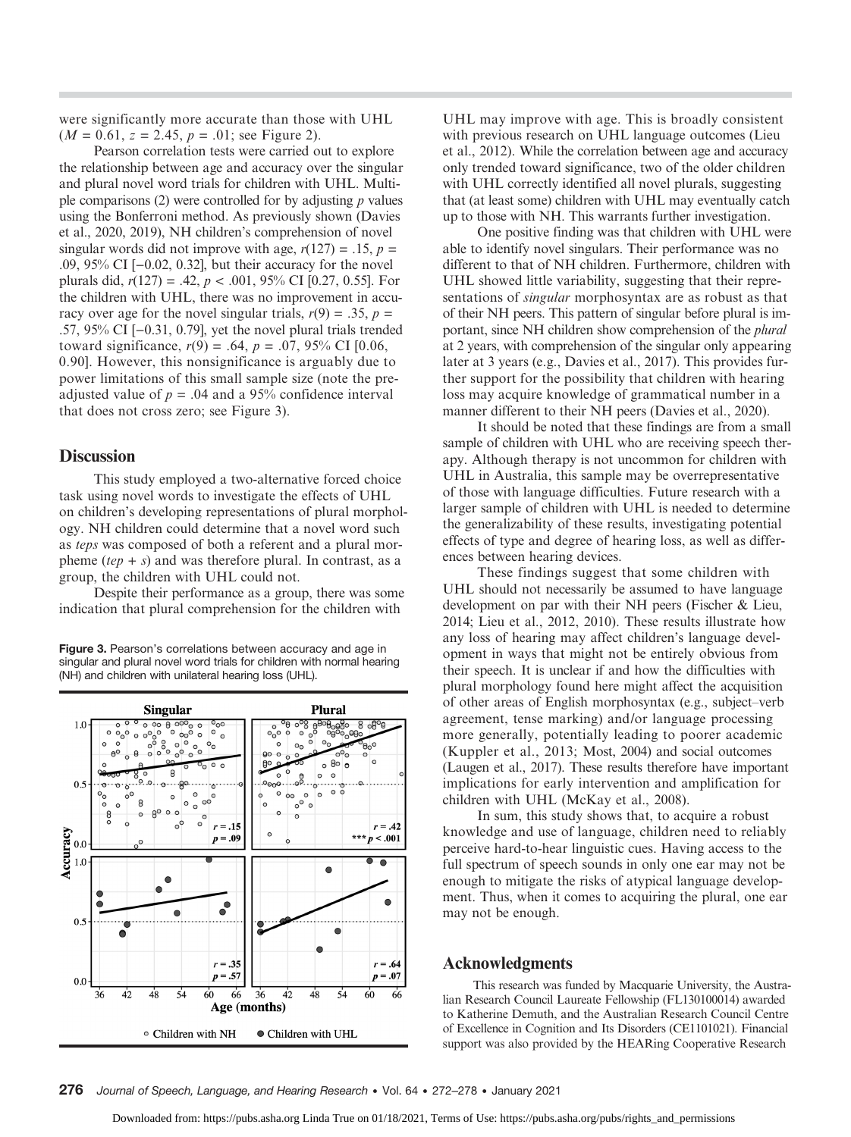were significantly more accurate than those with UHL  $(M = 0.61, z = 2.45, p = .01;$  see Figure 2).

Pearson correlation tests were carried out to explore the relationship between age and accuracy over the singular and plural novel word trials for children with UHL. Multiple comparisons (2) were controlled for by adjusting  $p$  values using the Bonferroni method. As previously shown (Davies et al., 2020, 2019), NH children's comprehension of novel singular words did not improve with age,  $r(127) = .15$ ,  $p =$ .09, 95% CI [−0.02, 0.32], but their accuracy for the novel plurals did,  $r(127) = .42$ ,  $p < .001$ , 95% CI [0.27, 0.55]. For the children with UHL, there was no improvement in accuracy over age for the novel singular trials,  $r(9) = .35$ ,  $p =$ .57, 95% CI [−0.31, 0.79], yet the novel plural trials trended toward significance,  $r(9) = .64$ ,  $p = .07$ , 95% CI [0.06, 0.90]. However, this nonsignificance is arguably due to power limitations of this small sample size (note the preadjusted value of  $p = .04$  and a 95% confidence interval that does not cross zero; see Figure 3).

## **Discussion**

This study employed a two-alternative forced choice task using novel words to investigate the effects of UHL on children's developing representations of plural morphology. NH children could determine that a novel word such as teps was composed of both a referent and a plural morpheme  $(tep + s)$  and was therefore plural. In contrast, as a group, the children with UHL could not.

Despite their performance as a group, there was some indication that plural comprehension for the children with

Figure 3. Pearson's correlations between accuracy and age in singular and plural novel word trials for children with normal hearing (NH) and children with unilateral hearing loss (UHL).



UHL may improve with age. This is broadly consistent with previous research on UHL language outcomes (Lieu et al., 2012). While the correlation between age and accuracy only trended toward significance, two of the older children with UHL correctly identified all novel plurals, suggesting that (at least some) children with UHL may eventually catch up to those with NH. This warrants further investigation.

One positive finding was that children with UHL were able to identify novel singulars. Their performance was no different to that of NH children. Furthermore, children with UHL showed little variability, suggesting that their representations of singular morphosyntax are as robust as that of their NH peers. This pattern of singular before plural is important, since NH children show comprehension of the plural at 2 years, with comprehension of the singular only appearing later at 3 years (e.g., Davies et al., 2017). This provides further support for the possibility that children with hearing loss may acquire knowledge of grammatical number in a manner different to their NH peers (Davies et al., 2020).

It should be noted that these findings are from a small sample of children with UHL who are receiving speech therapy. Although therapy is not uncommon for children with UHL in Australia, this sample may be overrepresentative of those with language difficulties. Future research with a larger sample of children with UHL is needed to determine the generalizability of these results, investigating potential effects of type and degree of hearing loss, as well as differences between hearing devices.

These findings suggest that some children with UHL should not necessarily be assumed to have language development on par with their NH peers (Fischer & Lieu, 2014; Lieu et al., 2012, 2010). These results illustrate how any loss of hearing may affect children's language development in ways that might not be entirely obvious from their speech. It is unclear if and how the difficulties with plural morphology found here might affect the acquisition of other areas of English morphosyntax (e.g., subject–verb agreement, tense marking) and/or language processing more generally, potentially leading to poorer academic (Kuppler et al., 2013; Most, 2004) and social outcomes (Laugen et al., 2017). These results therefore have important implications for early intervention and amplification for children with UHL (McKay et al., 2008).

In sum, this study shows that, to acquire a robust knowledge and use of language, children need to reliably perceive hard-to-hear linguistic cues. Having access to the full spectrum of speech sounds in only one ear may not be enough to mitigate the risks of atypical language development. Thus, when it comes to acquiring the plural, one ear may not be enough.

## Acknowledgments

This research was funded by Macquarie University, the Australian Research Council Laureate Fellowship (FL130100014) awarded to Katherine Demuth, and the Australian Research Council Centre of Excellence in Cognition and Its Disorders (CE1101021). Financial support was also provided by the HEARing Cooperative Research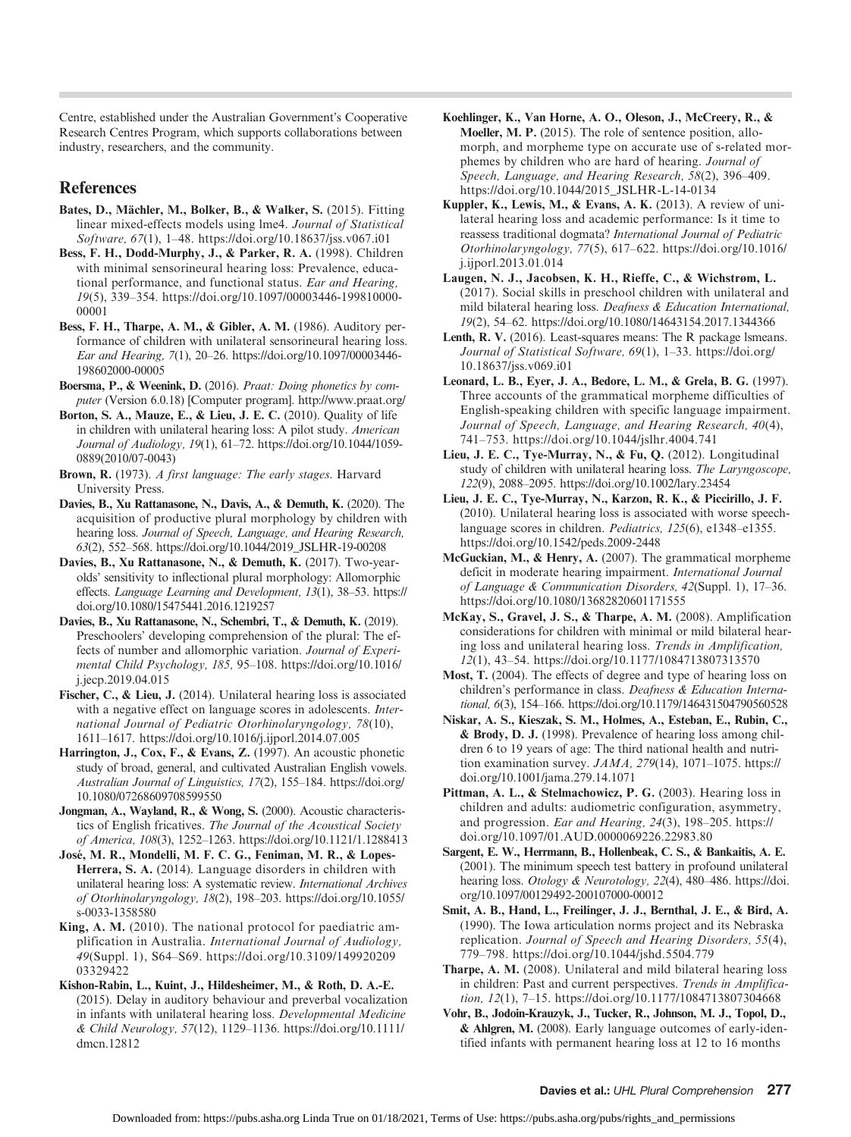Centre, established under the Australian Government's Cooperative Research Centres Program, which supports collaborations between industry, researchers, and the community.

## References

- Bates, D., Mächler, M., Bolker, B., & Walker, S. (2015). Fitting linear mixed-effects models using lme4. Journal of Statistical Software, 67(1), 1–48.<https://doi.org/10.18637/jss.v067.i01>
- Bess, F. H., Dodd-Murphy, J., & Parker, R. A. (1998). Children with minimal sensorineural hearing loss: Prevalence, educational performance, and functional status. Ear and Hearing, 19(5), 339–354. [https://doi.org/10.1097/00003446-199810000-](https://doi.org/10.1097/00003446-199810000-00001) [00001](https://doi.org/10.1097/00003446-199810000-00001)
- Bess, F. H., Tharpe, A. M., & Gibler, A. M. (1986). Auditory performance of children with unilateral sensorineural hearing loss. Ear and Hearing, 7(1), 20–26. [https://doi.org/10.1097/00003446-](https://doi.org/10.1097/00003446-198602000-00005) [198602000-00005](https://doi.org/10.1097/00003446-198602000-00005)
- Boersma, P., & Weenink, D. (2016). Praat: Doing phonetics by computer (Version 6.0.18) [Computer program].<http://www.praat.org/>
- Borton, S. A., Mauze, E., & Lieu, J. E. C. (2010). Quality of life in children with unilateral hearing loss: A pilot study. American Journal of Audiology, 19(1), 61–72. [https://doi.org/10.1044/1059-](https://doi.org/10.1044/1059-0889(2010/07-0043)) [0889\(2010/07-0043\)](https://doi.org/10.1044/1059-0889(2010/07-0043))
- Brown, R. (1973). A first language: The early stages. Harvard University Press.
- Davies, B., Xu Rattanasone, N., Davis, A., & Demuth, K. (2020). The acquisition of productive plural morphology by children with hearing loss. Journal of Speech, Language, and Hearing Research, 63(2), 552–568. [https://doi.org/10.1044/2019\\_JSLHR-19-00208](https://doi.org/10.1044/2019_JSLHR-19-00208)
- Davies, B., Xu Rattanasone, N., & Demuth, K. (2017). Two-yearolds' sensitivity to inflectional plural morphology: Allomorphic effects. Language Learning and Development, 13(1), 38–53. [https://](https://doi.org/10.1080/15475441.2016.1219257) [doi.org/10.1080/15475441.2016.1219257](https://doi.org/10.1080/15475441.2016.1219257)
- Davies, B., Xu Rattanasone, N., Schembri, T., & Demuth, K. (2019). Preschoolers' developing comprehension of the plural: The effects of number and allomorphic variation. Journal of Experimental Child Psychology, 185, 95–108. [https://doi.org/10.1016/](https://doi.org/10.1016/j.jecp.2019.04.015) [j.jecp.2019.04.015](https://doi.org/10.1016/j.jecp.2019.04.015)
- Fischer, C., & Lieu, J. (2014). Unilateral hearing loss is associated with a negative effect on language scores in adolescents. International Journal of Pediatric Otorhinolaryngology, 78(10), 1611–1617.<https://doi.org/10.1016/j.ijporl.2014.07.005>
- Harrington, J., Cox, F., & Evans, Z. (1997). An acoustic phonetic study of broad, general, and cultivated Australian English vowels. Australian Journal of Linguistics, 17(2), 155–184. [https://doi.org/](https://doi.org/10.1080/07268609708599550) [10.1080/07268609708599550](https://doi.org/10.1080/07268609708599550)
- Jongman, A., Wayland, R., & Wong, S. (2000). Acoustic characteristics of English fricatives. The Journal of the Acoustical Society of America, 108(3), 1252–1263.<https://doi.org/10.1121/1.1288413>
- José, M. R., Mondelli, M. F. C. G., Feniman, M. R., & Lopes-Herrera, S. A. (2014). Language disorders in children with unilateral hearing loss: A systematic review. International Archives of Otorhinolaryngology, 18(2), 198–203. [https://doi.org/10.1055/](https://doi.org/10.1055/s-0033-1358580) [s-0033-1358580](https://doi.org/10.1055/s-0033-1358580)
- King, A. M. (2010). The national protocol for paediatric amplification in Australia. International Journal of Audiology, 49(Suppl. 1), S64-S69. [https://doi.org/10.3109/149920209](https://doi.org/10.3109/14992020903329422) [03329422](https://doi.org/10.3109/14992020903329422)
- Kishon-Rabin, L., Kuint, J., Hildesheimer, M., & Roth, D. A.-E. (2015). Delay in auditory behaviour and preverbal vocalization in infants with unilateral hearing loss. Developmental Medicine & Child Neurology, 57(12), 1129–1136. [https://doi.org/10.1111/](https://doi.org/10.1111/dmcn.12812) [dmcn.12812](https://doi.org/10.1111/dmcn.12812)
- Koehlinger, K., Van Horne, A. O., Oleson, J., McCreery, R., & Moeller, M. P. (2015). The role of sentence position, allomorph, and morpheme type on accurate use of s-related morphemes by children who are hard of hearing. Journal of Speech, Language, and Hearing Research, 58(2), 396–409. [https://doi.org/10.1044/2015\\_JSLHR-L-14-0134](https://doi.org/10.1044/2015_JSLHR-L-14-0134)
- Kuppler, K., Lewis, M., & Evans, A. K. (2013). A review of unilateral hearing loss and academic performance: Is it time to reassess traditional dogmata? International Journal of Pediatric Otorhinolaryngology, 77(5), 617–622. [https://doi.org/10.1016/](https://doi.org/10.1016/j.ijporl.2013.01.014) [j.ijporl.2013.01.014](https://doi.org/10.1016/j.ijporl.2013.01.014)
- Laugen, N. J., Jacobsen, K. H., Rieffe, C., & Wichstrøm, L. (2017). Social skills in preschool children with unilateral and mild bilateral hearing loss. Deafness & Education International, 19(2), 54–62.<https://doi.org/10.1080/14643154.2017.1344366>
- Lenth, R. V. (2016). Least-squares means: The R package lsmeans. Journal of Statistical Software, 69(1), 1–33. [https://doi.org/](https://doi.org/10.18637/jss.v069.i01) [10.18637/jss.v069.i01](https://doi.org/10.18637/jss.v069.i01)
- Leonard, L. B., Eyer, J. A., Bedore, L. M., & Grela, B. G. (1997). Three accounts of the grammatical morpheme difficulties of English-speaking children with specific language impairment. Journal of Speech, Language, and Hearing Research, 40(4), 741–753.<https://doi.org/10.1044/jslhr.4004.741>
- Lieu, J. E. C., Tye-Murray, N., & Fu, Q. (2012). Longitudinal study of children with unilateral hearing loss. The Laryngoscope, 122(9), 2088–2095.<https://doi.org/10.1002/lary.23454>
- Lieu, J. E. C., Tye-Murray, N., Karzon, R. K., & Piccirillo, J. F. (2010). Unilateral hearing loss is associated with worse speechlanguage scores in children. Pediatrics, 125(6), e1348–e1355. <https://doi.org/10.1542/peds.2009-2448>
- McGuckian, M., & Henry, A. (2007). The grammatical morpheme deficit in moderate hearing impairment. International Journal of Language & Communication Disorders, 42(Suppl. 1), 17-36. <https://doi.org/10.1080/13682820601171555>
- McKay, S., Gravel, J. S., & Tharpe, A. M. (2008). Amplification considerations for children with minimal or mild bilateral hearing loss and unilateral hearing loss. Trends in Amplification, 12(1), 43–54.<https://doi.org/10.1177/1084713807313570>
- Most, T. (2004). The effects of degree and type of hearing loss on children's performance in class. Deafness & Education International, 6(3), 154–166.<https://doi.org/10.1179/146431504790560528>
- Niskar, A. S., Kieszak, S. M., Holmes, A., Esteban, E., Rubin, C., & Brody, D. J. (1998). Prevalence of hearing loss among children 6 to 19 years of age: The third national health and nutrition examination survey. JAMA, 279(14), 1071–1075. [https://](https://doi.org/10.1001/jama.279.14.1071) [doi.org/10.1001/jama.279.14.1071](https://doi.org/10.1001/jama.279.14.1071)
- Pittman, A. L., & Stelmachowicz, P. G. (2003). Hearing loss in children and adults: audiometric configuration, asymmetry, and progression. Ear and Hearing, 24(3), 198–205. [https://](https://doi.org/10.1097/01.AUD.0000069226.22983.80) [doi.org/10.1097/01.AUD.0000069226.22983.80](https://doi.org/10.1097/01.AUD.0000069226.22983.80)
- Sargent, E. W., Herrmann, B., Hollenbeak, C. S., & Bankaitis, A. E. (2001). The minimum speech test battery in profound unilateral hearing loss. Otology & Neurotology, 22(4), 480–486. [https://doi.](https://doi.org/10.1097/00129492-200107000-00012) [org/10.1097/00129492-200107000-00012](https://doi.org/10.1097/00129492-200107000-00012)
- Smit, A. B., Hand, L., Freilinger, J. J., Bernthal, J. E., & Bird, A. (1990). The Iowa articulation norms project and its Nebraska replication. Journal of Speech and Hearing Disorders, 55(4), 779–798.<https://doi.org/10.1044/jshd.5504.779>
- Tharpe, A. M. (2008). Unilateral and mild bilateral hearing loss in children: Past and current perspectives. Trends in Amplification, 12(1), 7–15.<https://doi.org/10.1177/1084713807304668>
- Vohr, B., Jodoin-Krauzyk, J., Tucker, R., Johnson, M. J., Topol, D., & Ahlgren, M. (2008). Early language outcomes of early-identified infants with permanent hearing loss at 12 to 16 months